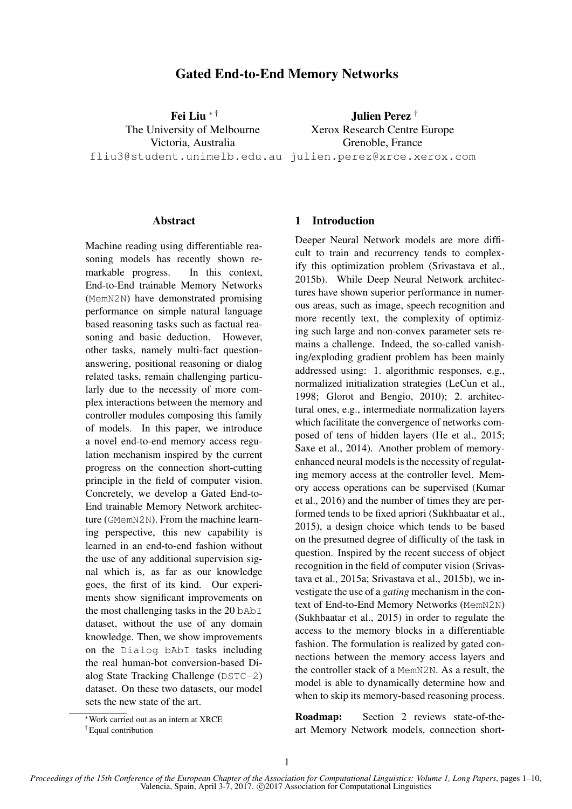# Gated End-to-End Memory Networks

Fei Liu ∗ † The University of Melbourne Victoria, Australia fliu3@student.unimelb.edu.au julien.perez@xrce.xerox.com

Julien Perez † Xerox Research Centre Europe Grenoble, France

## Abstract

Machine reading using differentiable reasoning models has recently shown remarkable progress. In this context, End-to-End trainable Memory Networks (MemN2N) have demonstrated promising performance on simple natural language based reasoning tasks such as factual reasoning and basic deduction. However, other tasks, namely multi-fact questionanswering, positional reasoning or dialog related tasks, remain challenging particularly due to the necessity of more complex interactions between the memory and controller modules composing this family of models. In this paper, we introduce a novel end-to-end memory access regulation mechanism inspired by the current progress on the connection short-cutting principle in the field of computer vision. Concretely, we develop a Gated End-to-End trainable Memory Network architecture (GMemN2N). From the machine learning perspective, this new capability is learned in an end-to-end fashion without the use of any additional supervision signal which is, as far as our knowledge goes, the first of its kind. Our experiments show significant improvements on the most challenging tasks in the 20 bAbI dataset, without the use of any domain knowledge. Then, we show improvements on the Dialog bAbI tasks including the real human-bot conversion-based Dialog State Tracking Challenge (DSTC-2) dataset. On these two datasets, our model sets the new state of the art.

### 1 Introduction

Deeper Neural Network models are more difficult to train and recurrency tends to complexify this optimization problem (Srivastava et al., 2015b). While Deep Neural Network architectures have shown superior performance in numerous areas, such as image, speech recognition and more recently text, the complexity of optimizing such large and non-convex parameter sets remains a challenge. Indeed, the so-called vanishing/exploding gradient problem has been mainly addressed using: 1. algorithmic responses, e.g., normalized initialization strategies (LeCun et al., 1998; Glorot and Bengio, 2010); 2. architectural ones, e.g., intermediate normalization layers which facilitate the convergence of networks composed of tens of hidden layers (He et al., 2015; Saxe et al., 2014). Another problem of memoryenhanced neural models is the necessity of regulating memory access at the controller level. Memory access operations can be supervised (Kumar et al., 2016) and the number of times they are performed tends to be fixed apriori (Sukhbaatar et al., 2015), a design choice which tends to be based on the presumed degree of difficulty of the task in question. Inspired by the recent success of object recognition in the field of computer vision (Srivastava et al., 2015a; Srivastava et al., 2015b), we investigate the use of a *gating* mechanism in the context of End-to-End Memory Networks (MemN2N) (Sukhbaatar et al., 2015) in order to regulate the access to the memory blocks in a differentiable fashion. The formulation is realized by gated connections between the memory access layers and the controller stack of a MemN2N. As a result, the model is able to dynamically determine how and when to skip its memory-based reasoning process.

Roadmap: Section 2 reviews state-of-theart Memory Network models, connection short-

<sup>∗</sup>Work carried out as an intern at XRCE

<sup>†</sup>Equal contribution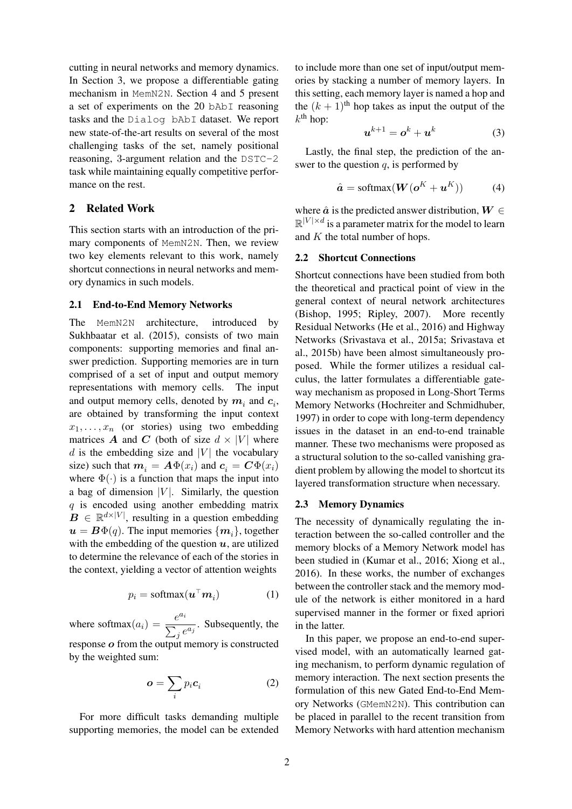cutting in neural networks and memory dynamics. In Section 3, we propose a differentiable gating mechanism in MemN2N. Section 4 and 5 present a set of experiments on the 20 bAbI reasoning tasks and the Dialog bAbI dataset. We report new state-of-the-art results on several of the most challenging tasks of the set, namely positional reasoning, 3-argument relation and the DSTC-2 task while maintaining equally competitive performance on the rest.

## 2 Related Work

This section starts with an introduction of the primary components of MemN2N. Then, we review two key elements relevant to this work, namely shortcut connections in neural networks and memory dynamics in such models.

#### 2.1 End-to-End Memory Networks

The MemN2N architecture, introduced by Sukhbaatar et al. (2015), consists of two main components: supporting memories and final answer prediction. Supporting memories are in turn comprised of a set of input and output memory representations with memory cells. The input and output memory cells, denoted by  $m_i$  and  $c_i$ , are obtained by transforming the input context  $x_1, \ldots, x_n$  (or stories) using two embedding matrices A and C (both of size  $d \times |V|$  where  $d$  is the embedding size and |V| the vocabulary size) such that  $m_i = A \Phi(x_i)$  and  $c_i = C \Phi(x_i)$ where  $\Phi(\cdot)$  is a function that maps the input into a bag of dimension  $|V|$ . Similarly, the question q is encoded using another embedding matrix  $\mathbf{B} \in \mathbb{R}^{d \times |V|}$ , resulting in a question embedding  $u = B\Phi(q)$ . The input memories  $\{m_i\}$ , together with the embedding of the question  $u$ , are utilized to determine the relevance of each of the stories in the context, yielding a vector of attention weights

$$
p_i = \text{softmax}(\boldsymbol{u}^\top \boldsymbol{m}_i) \tag{1}
$$

where softmax $(a_i) = \frac{e^{a_i}}{\sum_i}$  $\sum_{j}^{\infty} e^{a_j}$ . Subsequently, the response o from the output memory is constructed by the weighted sum:

$$
\boldsymbol{o} = \sum_{i} p_i \boldsymbol{c}_i \tag{2}
$$

For more difficult tasks demanding multiple supporting memories, the model can be extended

to include more than one set of input/output memories by stacking a number of memory layers. In this setting, each memory layer is named a hop and the  $(k + 1)$ <sup>th</sup> hop takes as input the output of the  $k^{\text{th}}$  hop:

$$
\boldsymbol{u}^{k+1} = \boldsymbol{o}^k + \boldsymbol{u}^k \tag{3}
$$

Lastly, the final step, the prediction of the answer to the question  $q$ , is performed by

$$
\hat{\boldsymbol{a}} = \text{softmax}(\boldsymbol{W}(\boldsymbol{o}^K + \boldsymbol{u}^K))
$$
 (4)

where  $\hat{a}$  is the predicted answer distribution,  $W \in$  $\mathbb{R}^{|V| \times d}$  is a parameter matrix for the model to learn and  $K$  the total number of hops.

## 2.2 Shortcut Connections

Shortcut connections have been studied from both the theoretical and practical point of view in the general context of neural network architectures (Bishop, 1995; Ripley, 2007). More recently Residual Networks (He et al., 2016) and Highway Networks (Srivastava et al., 2015a; Srivastava et al., 2015b) have been almost simultaneously proposed. While the former utilizes a residual calculus, the latter formulates a differentiable gateway mechanism as proposed in Long-Short Terms Memory Networks (Hochreiter and Schmidhuber, 1997) in order to cope with long-term dependency issues in the dataset in an end-to-end trainable manner. These two mechanisms were proposed as a structural solution to the so-called vanishing gradient problem by allowing the model to shortcut its layered transformation structure when necessary.

### 2.3 Memory Dynamics

The necessity of dynamically regulating the interaction between the so-called controller and the memory blocks of a Memory Network model has been studied in (Kumar et al., 2016; Xiong et al., 2016). In these works, the number of exchanges between the controller stack and the memory module of the network is either monitored in a hard supervised manner in the former or fixed apriori in the latter.

In this paper, we propose an end-to-end supervised model, with an automatically learned gating mechanism, to perform dynamic regulation of memory interaction. The next section presents the formulation of this new Gated End-to-End Memory Networks (GMemN2N). This contribution can be placed in parallel to the recent transition from Memory Networks with hard attention mechanism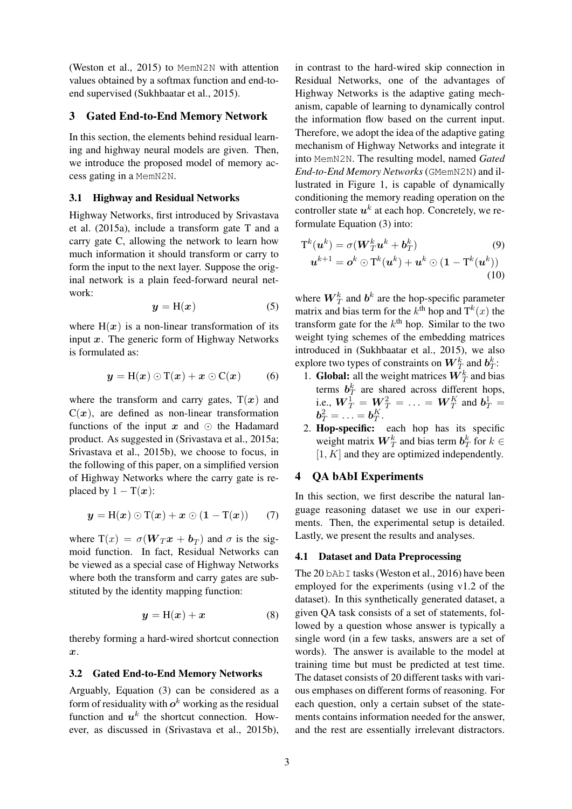(Weston et al., 2015) to MemN2N with attention values obtained by a softmax function and end-toend supervised (Sukhbaatar et al., 2015).

### 3 Gated End-to-End Memory Network

In this section, the elements behind residual learning and highway neural models are given. Then, we introduce the proposed model of memory access gating in a MemN2N.

#### 3.1 Highway and Residual Networks

Highway Networks, first introduced by Srivastava et al. (2015a), include a transform gate T and a carry gate C, allowing the network to learn how much information it should transform or carry to form the input to the next layer. Suppose the original network is a plain feed-forward neural network:

$$
y = H(x) \tag{5}
$$

where  $H(x)$  is a non-linear transformation of its input  $x$ . The generic form of Highway Networks is formulated as:

$$
y = H(x) \odot T(x) + x \odot C(x) \qquad (6)
$$

where the transform and carry gates,  $T(x)$  and  $C(x)$ , are defined as non-linear transformation functions of the input  $x$  and  $\odot$  the Hadamard product. As suggested in (Srivastava et al., 2015a; Srivastava et al., 2015b), we choose to focus, in the following of this paper, on a simplified version of Highway Networks where the carry gate is replaced by  $1 - T(x)$ :

$$
y = H(x) \odot T(x) + x \odot (1 - T(x)) \qquad (7)
$$

where  $T(x) = \sigma(W_T x + b_T)$  and  $\sigma$  is the sigmoid function. In fact, Residual Networks can be viewed as a special case of Highway Networks where both the transform and carry gates are substituted by the identity mapping function:

$$
y = H(x) + x \tag{8}
$$

thereby forming a hard-wired shortcut connection x.

#### 3.2 Gated End-to-End Memory Networks

Arguably, Equation (3) can be considered as a form of residuality with  $o^k$  working as the residual function and  $u^k$  the shortcut connection. However, as discussed in (Srivastava et al., 2015b),

in contrast to the hard-wired skip connection in Residual Networks, one of the advantages of Highway Networks is the adaptive gating mechanism, capable of learning to dynamically control the information flow based on the current input. Therefore, we adopt the idea of the adaptive gating mechanism of Highway Networks and integrate it into MemN2N. The resulting model, named *Gated End-to-End Memory Networks* (GMemN2N) and illustrated in Figure 1, is capable of dynamically conditioning the memory reading operation on the controller state  $u^k$  at each hop. Concretely, we reformulate Equation (3) into:

$$
\mathbf{T}^k(\boldsymbol{u}^k) = \sigma(\boldsymbol{W}_T^k \boldsymbol{u}^k + \boldsymbol{b}_T^k) \tag{9}
$$
  

$$
\boldsymbol{u}^{k+1} = \boldsymbol{o}^k \odot \mathbf{T}^k(\boldsymbol{u}^k) + \boldsymbol{u}^k \odot (\mathbf{1} - \mathbf{T}^k(\boldsymbol{u}^k)) \tag{10}
$$

where  $W_T^k$  and  $b^k$  are the hop-specific parameter matrix and bias term for the  $k^{\text{th}}$  hop and  $T^k(x)$  the transform gate for the  $k<sup>th</sup>$  hop. Similar to the two weight tying schemes of the embedding matrices introduced in (Sukhbaatar et al., 2015), we also explore two types of constraints on  $W^k_T$  and  $b^k_T$ :

- 1. **Global:** all the weight matrices  $W_T^k$  and bias terms  $b_T^k$  are shared across different hops, i.e.,  $W_T^1 = W_T^2 = \ldots = W_T^K$  and  $b_T^1 =$  $\boldsymbol{b}_T^2 = \ldots = \boldsymbol{b}_T^K.$
- 2. Hop-specific: each hop has its specific weight matrix  $\boldsymbol{W}_T^k$  and bias term  $\boldsymbol{b}_T^k$  for  $k \in$  $[1, K]$  and they are optimized independently.

### 4 QA bAbI Experiments

In this section, we first describe the natural language reasoning dataset we use in our experiments. Then, the experimental setup is detailed. Lastly, we present the results and analyses.

#### 4.1 Dataset and Data Preprocessing

The 20 bAb<sub>I</sub> tasks (Weston et al., 2016) have been employed for the experiments (using v1.2 of the dataset). In this synthetically generated dataset, a given QA task consists of a set of statements, followed by a question whose answer is typically a single word (in a few tasks, answers are a set of words). The answer is available to the model at training time but must be predicted at test time. The dataset consists of 20 different tasks with various emphases on different forms of reasoning. For each question, only a certain subset of the statements contains information needed for the answer, and the rest are essentially irrelevant distractors.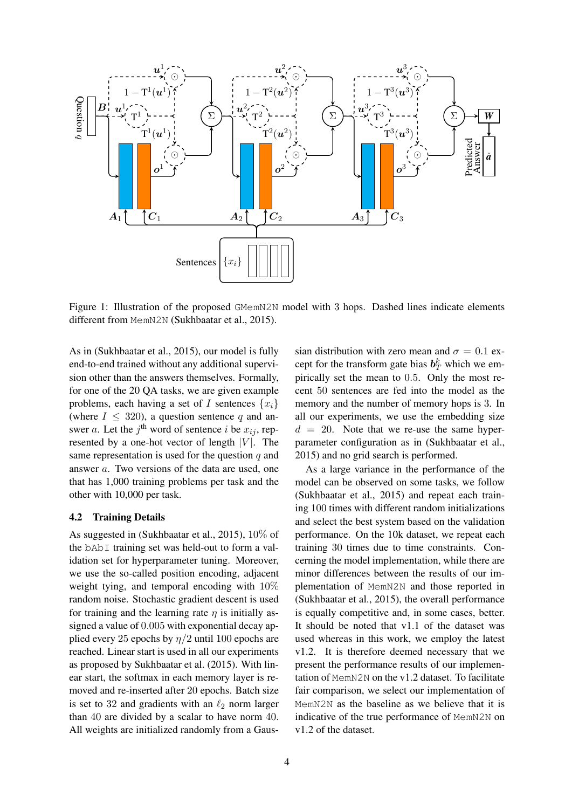

Figure 1: Illustration of the proposed GMemN2N model with 3 hops. Dashed lines indicate elements different from MemN2N (Sukhbaatar et al., 2015).

As in (Sukhbaatar et al., 2015), our model is fully end-to-end trained without any additional supervision other than the answers themselves. Formally, for one of the 20 QA tasks, we are given example problems, each having a set of I sentences  $\{x_i\}$ (where  $I \leq 320$ ), a question sentence q and answer *a*. Let the  $j^{\text{th}}$  word of sentence *i* be  $x_{ij}$ , represented by a one-hot vector of length  $|V|$ . The same representation is used for the question  $q$  and answer a. Two versions of the data are used, one that has 1,000 training problems per task and the other with 10,000 per task.

#### 4.2 Training Details

As suggested in (Sukhbaatar et al., 2015), 10% of the bAbI training set was held-out to form a validation set for hyperparameter tuning. Moreover, we use the so-called position encoding, adjacent weight tying, and temporal encoding with 10% random noise. Stochastic gradient descent is used for training and the learning rate  $\eta$  is initially assigned a value of 0.005 with exponential decay applied every 25 epochs by  $\eta/2$  until 100 epochs are reached. Linear start is used in all our experiments as proposed by Sukhbaatar et al. (2015). With linear start, the softmax in each memory layer is removed and re-inserted after 20 epochs. Batch size is set to 32 and gradients with an  $\ell_2$  norm larger than 40 are divided by a scalar to have norm 40. All weights are initialized randomly from a Gaus-

sian distribution with zero mean and  $\sigma = 0.1$  except for the transform gate bias  $b_T^k$  which we empirically set the mean to 0.5. Only the most recent 50 sentences are fed into the model as the memory and the number of memory hops is 3. In all our experiments, we use the embedding size  $d = 20$ . Note that we re-use the same hyperparameter configuration as in (Sukhbaatar et al., 2015) and no grid search is performed.

As a large variance in the performance of the model can be observed on some tasks, we follow (Sukhbaatar et al., 2015) and repeat each training 100 times with different random initializations and select the best system based on the validation performance. On the 10k dataset, we repeat each training 30 times due to time constraints. Concerning the model implementation, while there are minor differences between the results of our implementation of MemN2N and those reported in (Sukhbaatar et al., 2015), the overall performance is equally competitive and, in some cases, better. It should be noted that v1.1 of the dataset was used whereas in this work, we employ the latest v1.2. It is therefore deemed necessary that we present the performance results of our implementation of MemN2N on the v1.2 dataset. To facilitate fair comparison, we select our implementation of MemN2N as the baseline as we believe that it is indicative of the true performance of MemN2N on v1.2 of the dataset.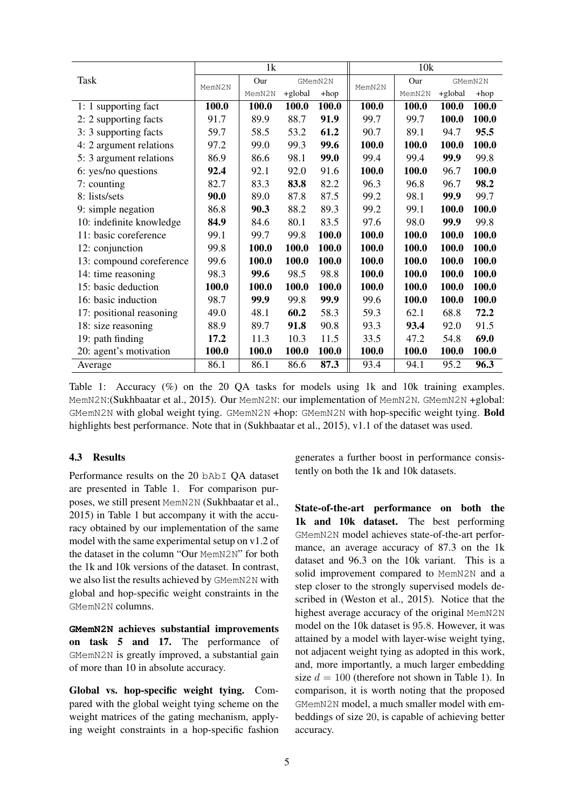| Task                     | 1k     |                |         |       | 10k    |         |         |        |
|--------------------------|--------|----------------|---------|-------|--------|---------|---------|--------|
|                          | MemN2N | Our<br>GMemN2N |         |       | Our    | GMemN2N |         |        |
|                          |        | MemN2N         | +global | +hop  | MemN2N | MemN2N  | +global | $+hop$ |
| 1: 1 supporting fact     | 100.0  | 100.0          | 100.0   | 100.0 | 100.0  | 100.0   | 100.0   | 100.0  |
| 2: 2 supporting facts    | 91.7   | 89.9           | 88.7    | 91.9  | 99.7   | 99.7    | 100.0   | 100.0  |
| 3: 3 supporting facts    | 59.7   | 58.5           | 53.2    | 61.2  | 90.7   | 89.1    | 94.7    | 95.5   |
| 4: 2 argument relations  | 97.2   | 99.0           | 99.3    | 99.6  | 100.0  | 100.0   | 100.0   | 100.0  |
| 5: 3 argument relations  | 86.9   | 86.6           | 98.1    | 99.0  | 99.4   | 99.4    | 99.9    | 99.8   |
| 6: yes/no questions      | 92.4   | 92.1           | 92.0    | 91.6  | 100.0  | 100.0   | 96.7    | 100.0  |
| 7: counting              | 82.7   | 83.3           | 83.8    | 82.2  | 96.3   | 96.8    | 96.7    | 98.2   |
| 8: lists/sets            | 90.0   | 89.0           | 87.8    | 87.5  | 99.2   | 98.1    | 99.9    | 99.7   |
| 9: simple negation       | 86.8   | 90.3           | 88.2    | 89.3  | 99.2   | 99.1    | 100.0   | 100.0  |
| 10: indefinite knowledge | 84.9   | 84.6           | 80.1    | 83.5  | 97.6   | 98.0    | 99.9    | 99.8   |
| 11: basic coreference    | 99.1   | 99.7           | 99.8    | 100.0 | 100.0  | 100.0   | 100.0   | 100.0  |
| 12: conjunction          | 99.8   | 100.0          | 100.0   | 100.0 | 100.0  | 100.0   | 100.0   | 100.0  |
| 13: compound coreference | 99.6   | 100.0          | 100.0   | 100.0 | 100.0  | 100.0   | 100.0   | 100.0  |
| 14: time reasoning       | 98.3   | 99.6           | 98.5    | 98.8  | 100.0  | 100.0   | 100.0   | 100.0  |
| 15: basic deduction      | 100.0  | 100.0          | 100.0   | 100.0 | 100.0  | 100.0   | 100.0   | 100.0  |
| 16: basic induction      | 98.7   | 99.9           | 99.8    | 99.9  | 99.6   | 100.0   | 100.0   | 100.0  |
| 17: positional reasoning | 49.0   | 48.1           | 60.2    | 58.3  | 59.3   | 62.1    | 68.8    | 72.2   |
| 18: size reasoning       | 88.9   | 89.7           | 91.8    | 90.8  | 93.3   | 93.4    | 92.0    | 91.5   |
| 19: path finding         | 17.2   | 11.3           | 10.3    | 11.5  | 33.5   | 47.2    | 54.8    | 69.0   |
| 20: agent's motivation   | 100.0  | 100.0          | 100.0   | 100.0 | 100.0  | 100.0   | 100.0   | 100.0  |
| Average                  | 86.1   | 86.1           | 86.6    | 87.3  | 93.4   | 94.1    | 95.2    | 96.3   |

Table 1: Accuracy (%) on the 20 QA tasks for models using 1k and 10k training examples. MemN2N:(Sukhbaatar et al., 2015). Our MemN2N: our implementation of MemN2N. GMemN2N +global: GMemN2N with global weight tying. GMemN2N +hop: GMemN2N with hop-specific weight tying. Bold highlights best performance. Note that in (Sukhbaatar et al., 2015), v1.1 of the dataset was used.

## 4.3 Results

Performance results on the 20 bAbI QA dataset are presented in Table 1. For comparison purposes, we still present MemN2N (Sukhbaatar et al., 2015) in Table 1 but accompany it with the accuracy obtained by our implementation of the same model with the same experimental setup on v1.2 of the dataset in the column "Our MemN2N" for both the 1k and 10k versions of the dataset. In contrast, we also list the results achieved by GMemN2N with global and hop-specific weight constraints in the GMemN2N columns.

**GMemN2N** achieves substantial improvements on task 5 and 17. The performance of GMemN2N is greatly improved, a substantial gain of more than 10 in absolute accuracy.

Global vs. hop-specific weight tying. Compared with the global weight tying scheme on the weight matrices of the gating mechanism, applying weight constraints in a hop-specific fashion generates a further boost in performance consistently on both the 1k and 10k datasets.

State-of-the-art performance on both the 1k and 10k dataset. The best performing GMemN2N model achieves state-of-the-art performance, an average accuracy of 87.3 on the 1k dataset and 96.3 on the 10k variant. This is a solid improvement compared to MemN2N and a step closer to the strongly supervised models described in (Weston et al., 2015). Notice that the highest average accuracy of the original MemN2N model on the 10k dataset is 95.8. However, it was attained by a model with layer-wise weight tying, not adjacent weight tying as adopted in this work, and, more importantly, a much larger embedding size  $d = 100$  (therefore not shown in Table 1). In comparison, it is worth noting that the proposed GMemN2N model, a much smaller model with embeddings of size 20, is capable of achieving better accuracy.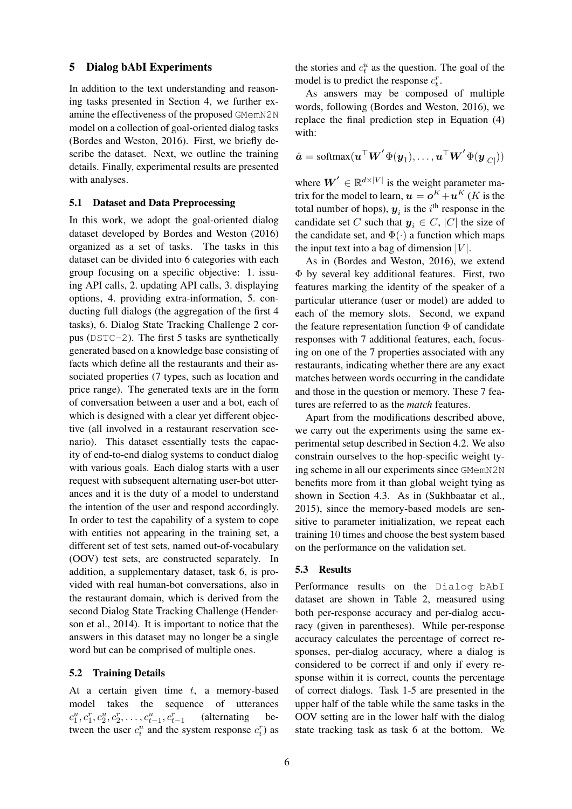#### 5 Dialog bAbI Experiments

In addition to the text understanding and reasoning tasks presented in Section 4, we further examine the effectiveness of the proposed GMemN2N model on a collection of goal-oriented dialog tasks (Bordes and Weston, 2016). First, we briefly describe the dataset. Next, we outline the training details. Finally, experimental results are presented with analyses.

## 5.1 Dataset and Data Preprocessing

In this work, we adopt the goal-oriented dialog dataset developed by Bordes and Weston (2016) organized as a set of tasks. The tasks in this dataset can be divided into 6 categories with each group focusing on a specific objective: 1. issuing API calls, 2. updating API calls, 3. displaying options, 4. providing extra-information, 5. conducting full dialogs (the aggregation of the first 4 tasks), 6. Dialog State Tracking Challenge 2 corpus (DSTC-2). The first 5 tasks are synthetically generated based on a knowledge base consisting of facts which define all the restaurants and their associated properties (7 types, such as location and price range). The generated texts are in the form of conversation between a user and a bot, each of which is designed with a clear yet different objective (all involved in a restaurant reservation scenario). This dataset essentially tests the capacity of end-to-end dialog systems to conduct dialog with various goals. Each dialog starts with a user request with subsequent alternating user-bot utterances and it is the duty of a model to understand the intention of the user and respond accordingly. In order to test the capability of a system to cope with entities not appearing in the training set, a different set of test sets, named out-of-vocabulary (OOV) test sets, are constructed separately. In addition, a supplementary dataset, task 6, is provided with real human-bot conversations, also in the restaurant domain, which is derived from the second Dialog State Tracking Challenge (Henderson et al., 2014). It is important to notice that the answers in this dataset may no longer be a single word but can be comprised of multiple ones.

#### 5.2 Training Details

At a certain given time  $t$ , a memory-based model takes the sequence of utterances  $c_1^u, c_1^r, c_2^u, c_2^r, \ldots, c_{t-1}^u, c_{t-1}^r$ (alternating between the user  $c_i^u$  and the system response  $c_i^r$ ) as

the stories and  $c_t^u$  as the question. The goal of the model is to predict the response  $c_t^r$ .

As answers may be composed of multiple words, following (Bordes and Weston, 2016), we replace the final prediction step in Equation (4) with:

$$
\hat{\boldsymbol{a}} = \text{softmax}(\boldsymbol{u}^\top \boldsymbol{W}' \boldsymbol{\Phi}(\boldsymbol{y}_1), \ldots, \boldsymbol{u}^\top \boldsymbol{W}' \boldsymbol{\Phi}(\boldsymbol{y}_{|C|}))
$$

where  $W' \in \mathbb{R}^{d \times |V|}$  is the weight parameter matrix for the model to learn,  $\boldsymbol{u} = \boldsymbol{o}^K \!+\! \boldsymbol{u}^K$  (K is the total number of hops),  $y_i$  is the i<sup>th</sup> response in the candidate set C such that  $y_i \in C$ , |C| the size of the candidate set, and  $\Phi(\cdot)$  a function which maps the input text into a bag of dimension  $|V|$ .

As in (Bordes and Weston, 2016), we extend Φ by several key additional features. First, two features marking the identity of the speaker of a particular utterance (user or model) are added to each of the memory slots. Second, we expand the feature representation function  $\Phi$  of candidate responses with 7 additional features, each, focusing on one of the 7 properties associated with any restaurants, indicating whether there are any exact matches between words occurring in the candidate and those in the question or memory. These 7 features are referred to as the *match* features.

Apart from the modifications described above, we carry out the experiments using the same experimental setup described in Section 4.2. We also constrain ourselves to the hop-specific weight tying scheme in all our experiments since GMemN2N benefits more from it than global weight tying as shown in Section 4.3. As in (Sukhbaatar et al., 2015), since the memory-based models are sensitive to parameter initialization, we repeat each training 10 times and choose the best system based on the performance on the validation set.

## 5.3 Results

Performance results on the Dialog bAbI dataset are shown in Table 2, measured using both per-response accuracy and per-dialog accuracy (given in parentheses). While per-response accuracy calculates the percentage of correct responses, per-dialog accuracy, where a dialog is considered to be correct if and only if every response within it is correct, counts the percentage of correct dialogs. Task 1-5 are presented in the upper half of the table while the same tasks in the OOV setting are in the lower half with the dialog state tracking task as task 6 at the bottom. We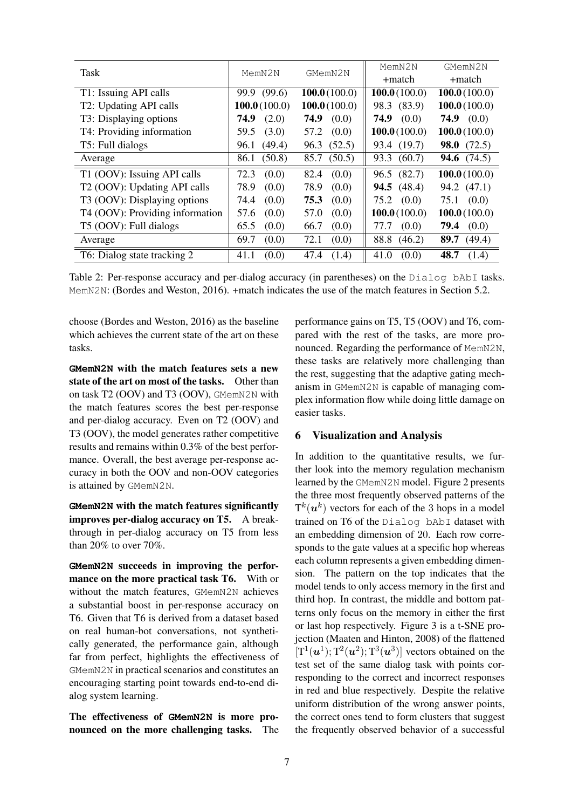| Task                                     | MemN2N         | GMemN2N        | MemN2N               | GMemN2N              |  |
|------------------------------------------|----------------|----------------|----------------------|----------------------|--|
|                                          |                |                | +match               | +match               |  |
| T1: Issuing API calls                    | 99.9 (99.6)    | 100.0(100.0)   | 100.0(100.0)         | 100.0(100.0)         |  |
| T2: Updating API calls                   | 100.0(100.0)   | 100.0(100.0)   | 98.3 (83.9)          | 100.0(100.0)         |  |
| T3: Displaying options                   | (2.0)<br>74.9  | (0.0)<br>74.9  | 74.9<br>(0.0)        | 74.9 $(0.0)$         |  |
| T4: Providing information                | (3.0)<br>59.5  | 57.2<br>(0.0)  | 100.0(100.0)         | 100.0(100.0)         |  |
| T5: Full dialogs                         | 96.1 (49.4)    | 96.3 (52.5)    | 93.4 (19.7)          | <b>98.0</b> $(72.5)$ |  |
| Average                                  | (50.8)<br>86.1 | (50.5)<br>85.7 | (60.7)<br>93.3       | <b>94.6</b> $(74.5)$ |  |
| T1 (OOV): Issuing API calls              | 72.3<br>(0.0)  | 82.4<br>(0.0)  | 96.5 (82.7)          | 100.0(100.0)         |  |
| T <sub>2</sub> (OOV): Updating API calls | 78.9<br>(0.0)  | 78.9<br>(0.0)  | <b>94.5</b> $(48.4)$ | 94.2 (47.1)          |  |
| T3 (OOV): Displaying options             | 74.4<br>(0.0)  | 75.3<br>(0.0)  | 75.2<br>(0.0)        | 75.1 (0.0)           |  |
| T4 (OOV): Providing information          | 57.6<br>(0.0)  | 57.0<br>(0.0)  | 100.0(100.0)         | 100.0(100.0)         |  |
| T5 (OOV): Full dialogs                   | 65.5<br>(0.0)  | (0.0)<br>66.7  | (0.0)<br>77.7        | (0.0)<br>79.4        |  |
| Average                                  | 69.7<br>(0.0)  | 72.1<br>(0.0)  | 88.8<br>(46.2)       | (49.4)<br>89.7       |  |
| T6: Dialog state tracking 2              | (0.0)<br>41.1  | 47.4<br>(1.4)  | (0.0)<br>41.0        | 48.7<br>(1.4)        |  |

Table 2: Per-response accuracy and per-dialog accuracy (in parentheses) on the Dialog bAbI tasks. MemN2N: (Bordes and Weston, 2016). +match indicates the use of the match features in Section 5.2.

choose (Bordes and Weston, 2016) as the baseline which achieves the current state of the art on these tasks.

**GMemN2N** with the match features sets a new state of the art on most of the tasks. Other than on task T2 (OOV) and T3 (OOV), GMemN2N with the match features scores the best per-response and per-dialog accuracy. Even on T2 (OOV) and T3 (OOV), the model generates rather competitive results and remains within 0.3% of the best performance. Overall, the best average per-response accuracy in both the OOV and non-OOV categories is attained by GMemN2N.

**GMemN2N** with the match features significantly improves per-dialog accuracy on T5. A breakthrough in per-dialog accuracy on T5 from less than 20% to over 70%.

**GMemN2N** succeeds in improving the performance on the more practical task T6. With or without the match features, GMemN2N achieves a substantial boost in per-response accuracy on T6. Given that T6 is derived from a dataset based on real human-bot conversations, not synthetically generated, the performance gain, although far from perfect, highlights the effectiveness of GMemN2N in practical scenarios and constitutes an encouraging starting point towards end-to-end dialog system learning.

The effectiveness of **GMemN2N** is more pronounced on the more challenging tasks. The performance gains on T5, T5 (OOV) and T6, compared with the rest of the tasks, are more pronounced. Regarding the performance of MemN2N, these tasks are relatively more challenging than the rest, suggesting that the adaptive gating mechanism in GMemN2N is capable of managing complex information flow while doing little damage on easier tasks.

## 6 Visualization and Analysis

In addition to the quantitative results, we further look into the memory regulation mechanism learned by the GMemN2N model. Figure 2 presents the three most frequently observed patterns of the  $T^k(u^k)$  vectors for each of the 3 hops in a model trained on T6 of the Dialog bAbI dataset with an embedding dimension of 20. Each row corresponds to the gate values at a specific hop whereas each column represents a given embedding dimension. The pattern on the top indicates that the model tends to only access memory in the first and third hop. In contrast, the middle and bottom patterns only focus on the memory in either the first or last hop respectively. Figure 3 is a t-SNE projection (Maaten and Hinton, 2008) of the flattened  $[T^1(\boldsymbol{u}^1); T^2(\boldsymbol{u}^2); T^3(\boldsymbol{u}^3)]$  vectors obtained on the test set of the same dialog task with points corresponding to the correct and incorrect responses in red and blue respectively. Despite the relative uniform distribution of the wrong answer points, the correct ones tend to form clusters that suggest the frequently observed behavior of a successful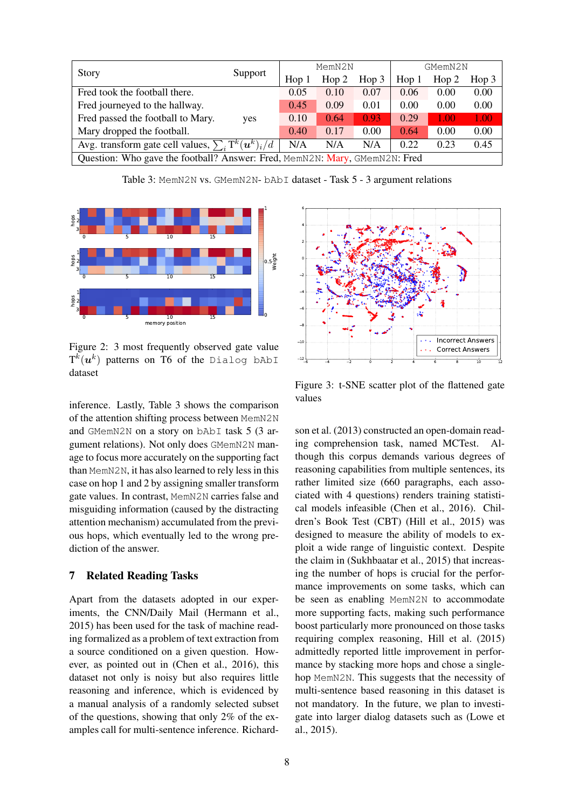|                                                                            | Support | MemN2N           |       |       | GMemN2N          |       |       |
|----------------------------------------------------------------------------|---------|------------------|-------|-------|------------------|-------|-------|
| <b>Story</b>                                                               |         | Hop <sub>1</sub> | Hop 2 | Hop 3 | Hop <sub>1</sub> | Hop 2 | Hop 3 |
| Fred took the football there.                                              |         | 0.05             | 0.10  | 0.07  | 0.06             | 0.00  | 0.00  |
| Fred journeyed to the hallway.                                             |         | 0.45             | 0.09  | 0.01  | 0.00             | 0.00  | 0.00  |
| Fred passed the football to Mary.                                          | yes     | 0.10             | 0.64  | 0.93  | 0.29             | 1.00  | 1.00  |
| Mary dropped the football.                                                 |         | 0.40             | 0.17  | 0.00  | 0.64             | 0.00  | 0.00  |
| Avg. transform gate cell values, $\sum_i \text{T}^k(u^k)_i \overline{d}$   |         | N/A              | N/A   | N/A   | 0.22             | 0.23  | 0.45  |
| Question: Who gave the football? Answer: Fred, MemN2N: Mary, GMemN2N: Fred |         |                  |       |       |                  |       |       |

Table 3: MemN2N vs. GMemN2N- bAbI dataset - Task 5 - 3 argument relations



Figure 2: 3 most frequently observed gate value  $\mathrm{T}^k(\boldsymbol{u}^k)$  patterns on  $\mathrm{T6}$  of the <code>Dialog</code> bAbI dataset

inference. Lastly, Table 3 shows the comparison of the attention shifting process between MemN2N and GMemN2N on a story on bAbI task 5 (3 argument relations). Not only does GMemN2N manage to focus more accurately on the supporting fact than MemN2N, it has also learned to rely less in this case on hop 1 and 2 by assigning smaller transform gate values. In contrast, MemN2N carries false and misguiding information (caused by the distracting attention mechanism) accumulated from the previous hops, which eventually led to the wrong prediction of the answer.

## 7 Related Reading Tasks

Apart from the datasets adopted in our experiments, the CNN/Daily Mail (Hermann et al., 2015) has been used for the task of machine reading formalized as a problem of text extraction from a source conditioned on a given question. However, as pointed out in (Chen et al., 2016), this dataset not only is noisy but also requires little reasoning and inference, which is evidenced by a manual analysis of a randomly selected subset of the questions, showing that only 2% of the examples call for multi-sentence inference. Richard-



Figure 3: t-SNE scatter plot of the flattened gate values

son et al. (2013) constructed an open-domain reading comprehension task, named MCTest. Although this corpus demands various degrees of reasoning capabilities from multiple sentences, its rather limited size (660 paragraphs, each associated with 4 questions) renders training statistical models infeasible (Chen et al., 2016). Children's Book Test (CBT) (Hill et al., 2015) was designed to measure the ability of models to exploit a wide range of linguistic context. Despite the claim in (Sukhbaatar et al., 2015) that increasing the number of hops is crucial for the performance improvements on some tasks, which can be seen as enabling MemN2N to accommodate more supporting facts, making such performance boost particularly more pronounced on those tasks requiring complex reasoning, Hill et al. (2015) admittedly reported little improvement in performance by stacking more hops and chose a singlehop MemN2N. This suggests that the necessity of multi-sentence based reasoning in this dataset is not mandatory. In the future, we plan to investigate into larger dialog datasets such as (Lowe et al., 2015).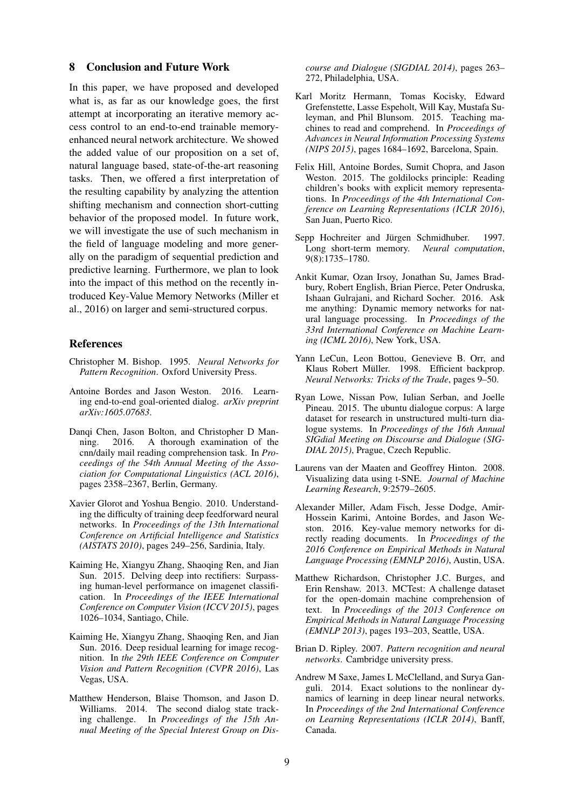#### 8 Conclusion and Future Work

In this paper, we have proposed and developed what is, as far as our knowledge goes, the first attempt at incorporating an iterative memory access control to an end-to-end trainable memoryenhanced neural network architecture. We showed the added value of our proposition on a set of, natural language based, state-of-the-art reasoning tasks. Then, we offered a first interpretation of the resulting capability by analyzing the attention shifting mechanism and connection short-cutting behavior of the proposed model. In future work, we will investigate the use of such mechanism in the field of language modeling and more generally on the paradigm of sequential prediction and predictive learning. Furthermore, we plan to look into the impact of this method on the recently introduced Key-Value Memory Networks (Miller et al., 2016) on larger and semi-structured corpus.

## References

- Christopher M. Bishop. 1995. *Neural Networks for Pattern Recognition*. Oxford University Press.
- Antoine Bordes and Jason Weston. 2016. Learning end-to-end goal-oriented dialog. *arXiv preprint arXiv:1605.07683*.
- Danqi Chen, Jason Bolton, and Christopher D Manning. 2016. A thorough examination of the cnn/daily mail reading comprehension task. In *Proceedings of the 54th Annual Meeting of the Association for Computational Linguistics (ACL 2016)*, pages 2358–2367, Berlin, Germany.
- Xavier Glorot and Yoshua Bengio. 2010. Understanding the difficulty of training deep feedforward neural networks. In *Proceedings of the 13th International Conference on Artificial Intelligence and Statistics (AISTATS 2010)*, pages 249–256, Sardinia, Italy.
- Kaiming He, Xiangyu Zhang, Shaoqing Ren, and Jian Sun. 2015. Delving deep into rectifiers: Surpassing human-level performance on imagenet classification. In *Proceedings of the IEEE International Conference on Computer Vision (ICCV 2015)*, pages 1026–1034, Santiago, Chile.
- Kaiming He, Xiangyu Zhang, Shaoqing Ren, and Jian Sun. 2016. Deep residual learning for image recognition. In *the 29th IEEE Conference on Computer Vision and Pattern Recognition (CVPR 2016)*, Las Vegas, USA.
- Matthew Henderson, Blaise Thomson, and Jason D. Williams. 2014. The second dialog state tracking challenge. In *Proceedings of the 15th Annual Meeting of the Special Interest Group on Dis-*

*course and Dialogue (SIGDIAL 2014)*, pages 263– 272, Philadelphia, USA.

- Karl Moritz Hermann, Tomas Kocisky, Edward Grefenstette, Lasse Espeholt, Will Kay, Mustafa Suleyman, and Phil Blunsom. 2015. Teaching machines to read and comprehend. In *Proceedings of Advances in Neural Information Processing Systems (NIPS 2015)*, pages 1684–1692, Barcelona, Spain.
- Felix Hill, Antoine Bordes, Sumit Chopra, and Jason Weston. 2015. The goldilocks principle: Reading children's books with explicit memory representations. In *Proceedings of the 4th International Conference on Learning Representations (ICLR 2016)*, San Juan, Puerto Rico.
- Sepp Hochreiter and Jürgen Schmidhuber. 1997. Long short-term memory. *Neural computation*, 9(8):1735–1780.
- Ankit Kumar, Ozan Irsoy, Jonathan Su, James Bradbury, Robert English, Brian Pierce, Peter Ondruska, Ishaan Gulrajani, and Richard Socher. 2016. Ask me anything: Dynamic memory networks for natural language processing. In *Proceedings of the 33rd International Conference on Machine Learning (ICML 2016)*, New York, USA.
- Yann LeCun, Leon Bottou, Genevieve B. Orr, and Klaus Robert Müller. 1998. Efficient backprop. *Neural Networks: Tricks of the Trade*, pages 9–50.
- Ryan Lowe, Nissan Pow, Iulian Serban, and Joelle Pineau. 2015. The ubuntu dialogue corpus: A large dataset for research in unstructured multi-turn dialogue systems. In *Proceedings of the 16th Annual SIGdial Meeting on Discourse and Dialogue (SIG-DIAL 2015)*, Prague, Czech Republic.
- Laurens van der Maaten and Geoffrey Hinton. 2008. Visualizing data using t-SNE. *Journal of Machine Learning Research*, 9:2579–2605.
- Alexander Miller, Adam Fisch, Jesse Dodge, Amir-Hossein Karimi, Antoine Bordes, and Jason Weston. 2016. Key-value memory networks for directly reading documents. In *Proceedings of the 2016 Conference on Empirical Methods in Natural Language Processing (EMNLP 2016)*, Austin, USA.
- Matthew Richardson, Christopher J.C. Burges, and Erin Renshaw. 2013. MCTest: A challenge dataset for the open-domain machine comprehension of text. In *Proceedings of the 2013 Conference on Empirical Methods in Natural Language Processing (EMNLP 2013)*, pages 193–203, Seattle, USA.
- Brian D. Ripley. 2007. *Pattern recognition and neural networks*. Cambridge university press.
- Andrew M Saxe, James L McClelland, and Surya Ganguli. 2014. Exact solutions to the nonlinear dynamics of learning in deep linear neural networks. In *Proceedings of the 2nd International Conference on Learning Representations (ICLR 2014)*, Banff, Canada.